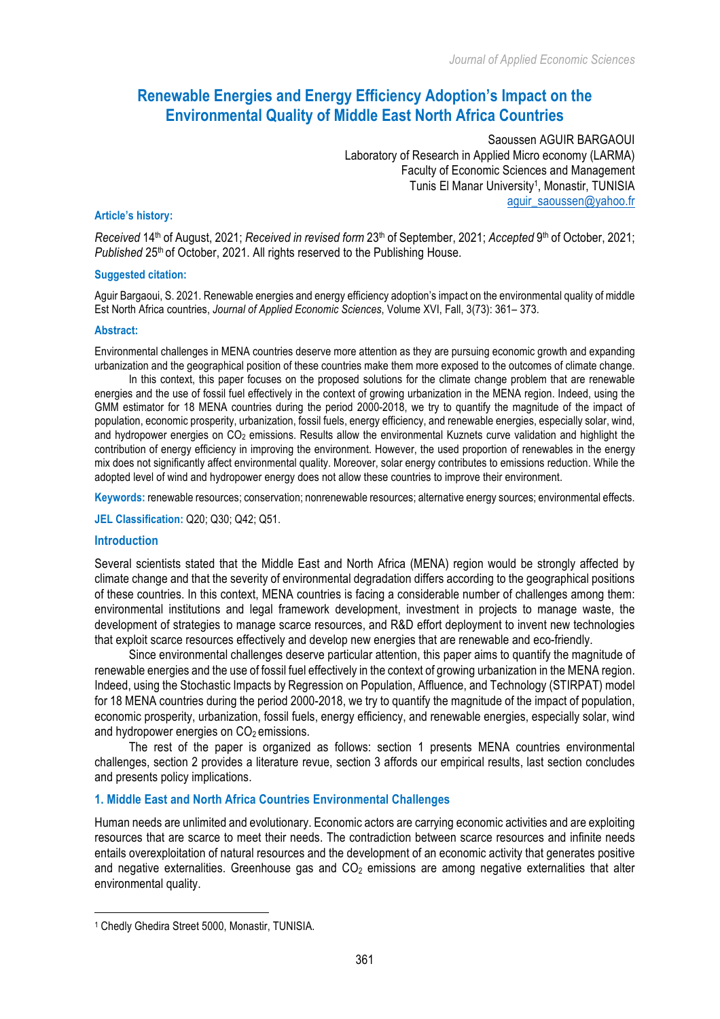# **Renewable Energies and Energy Efficiency Adoption's Impact on the Environmental Quality of Middle East North Africa Countries**

Saoussen AGUIR BARGAOUI Laboratory of Research in Applied Micro economy (LARMA) Faculty of Economic Sciences and Management Tunis El Manar University1, Monastir, TUNISIA aguir\_saoussen@yahoo.fr

#### **Article's history:**

*Received* 14th of August, 2021; *Received in revised form* 23th of September, 2021; *Accepted* 9th of October, 2021; Published 25<sup>th</sup> of October, 2021. All rights reserved to the Publishing House.

### **Suggested citation:**

Aguir Bargaoui, S. 2021. Renewable energies and energy efficiency adoption's impact on the environmental quality of middle Est North Africa countries, *Journal of Applied Economic Sciences*, Volume XVI, Fall, 3(73): 361– 373.

### **Abstract:**

Environmental challenges in MENA countries deserve more attention as they are pursuing economic growth and expanding urbanization and the geographical position of these countries make them more exposed to the outcomes of climate change.

In this context, this paper focuses on the proposed solutions for the climate change problem that are renewable energies and the use of fossil fuel effectively in the context of growing urbanization in the MENA region. Indeed, using the GMM estimator for 18 MENA countries during the period 2000-2018, we try to quantify the magnitude of the impact of population, economic prosperity, urbanization, fossil fuels, energy efficiency, and renewable energies, especially solar, wind, and hydropower energies on CO2 emissions. Results allow the environmental Kuznets curve validation and highlight the contribution of energy efficiency in improving the environment. However, the used proportion of renewables in the energy mix does not significantly affect environmental quality. Moreover, solar energy contributes to emissions reduction. While the adopted level of wind and hydropower energy does not allow these countries to improve their environment.

**Keywords:** renewable resources; conservation; nonrenewable resources; alternative energy sources; environmental effects.

**JEL Classification:** Q20; Q30; Q42; Q51.

### **Introduction**

Several scientists stated that the Middle East and North Africa (MENA) region would be strongly affected by climate change and that the severity of environmental degradation differs according to the geographical positions of these countries. In this context, MENA countries is facing a considerable number of challenges among them: environmental institutions and legal framework development, investment in projects to manage waste, the development of strategies to manage scarce resources, and R&D effort deployment to invent new technologies that exploit scarce resources effectively and develop new energies that are renewable and eco-friendly.

Since environmental challenges deserve particular attention, this paper aims to quantify the magnitude of renewable energies and the use of fossil fuel effectively in the context of growing urbanization in the MENA region. Indeed, using the Stochastic Impacts by Regression on Population, Affluence, and Technology (STIRPAT) model for 18 MENA countries during the period 2000-2018, we try to quantify the magnitude of the impact of population, economic prosperity, urbanization, fossil fuels, energy efficiency, and renewable energies, especially solar, wind and hydropower energies on  $CO<sub>2</sub>$  emissions.

The rest of the paper is organized as follows: section 1 presents MENA countries environmental challenges, section 2 provides a literature revue, section 3 affords our empirical results, last section concludes and presents policy implications.

### **1. Middle East and North Africa Countries Environmental Challenges**

Human needs are unlimited and evolutionary. Economic actors are carrying economic activities and are exploiting resources that are scarce to meet their needs. The contradiction between scarce resources and infinite needs entails overexploitation of natural resources and the development of an economic activity that generates positive and negative externalities. Greenhouse gas and  $CO<sub>2</sub>$  emissions are among negative externalities that alter environmental quality.

 

<sup>1</sup> Chedly Ghedira Street 5000, Monastir, TUNISIA.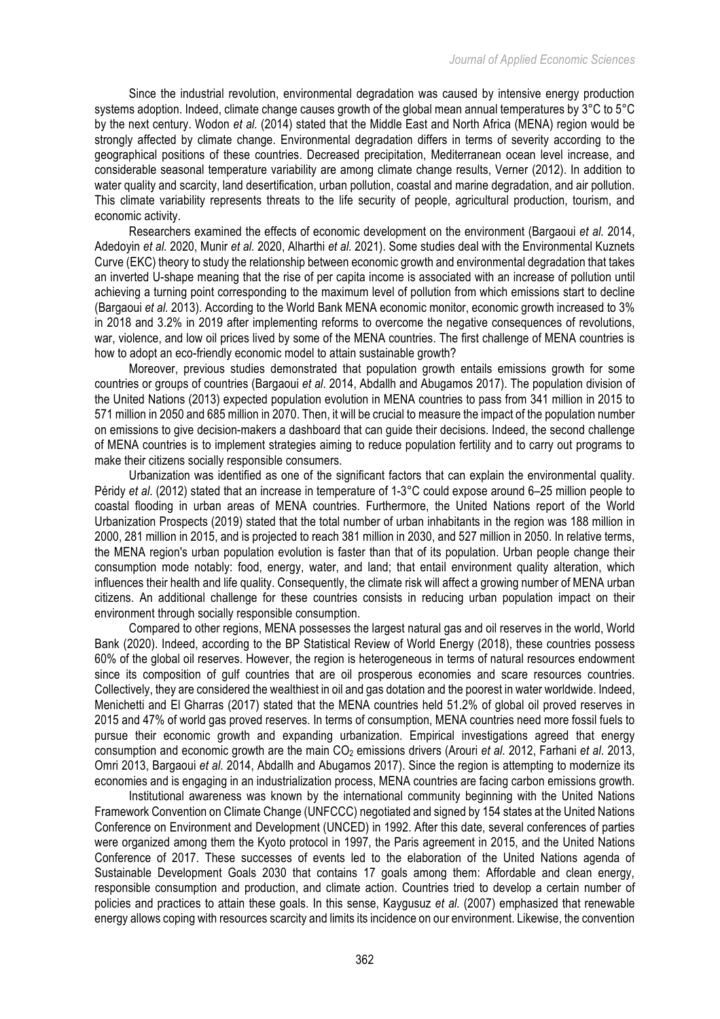Since the industrial revolution, environmental degradation was caused by intensive energy production systems adoption. Indeed, climate change causes growth of the global mean annual temperatures by 3°C to 5°C by the next century. Wodon *et al.* (2014) stated that the Middle East and North Africa (MENA) region would be strongly affected by climate change. Environmental degradation differs in terms of severity according to the geographical positions of these countries. Decreased precipitation, Mediterranean ocean level increase, and considerable seasonal temperature variability are among climate change results, Verner (2012). In addition to water quality and scarcity, land desertification, urban pollution, coastal and marine degradation, and air pollution. This climate variability represents threats to the life security of people, agricultural production, tourism, and economic activity.

Researchers examined the effects of economic development on the environment (Bargaoui *et al.* 2014, Adedoyin *et al.* 2020, Munir *et al.* 2020, Alharthi *et al.* 2021). Some studies deal with the Environmental Kuznets Curve (EKC) theory to study the relationship between economic growth and environmental degradation that takes an inverted U-shape meaning that the rise of per capita income is associated with an increase of pollution until achieving a turning point corresponding to the maximum level of pollution from which emissions start to decline (Bargaoui *et al.* 2013). According to the World Bank MENA economic monitor, economic growth increased to 3% in 2018 and 3.2% in 2019 after implementing reforms to overcome the negative consequences of revolutions, war, violence, and low oil prices lived by some of the MENA countries. The first challenge of MENA countries is how to adopt an eco-friendly economic model to attain sustainable growth?

Moreover, previous studies demonstrated that population growth entails emissions growth for some countries or groups of countries (Bargaoui *et al*. 2014, Abdallh and Abugamos 2017). The population division of the United Nations (2013) expected population evolution in MENA countries to pass from 341 million in 2015 to 571 million in 2050 and 685 million in 2070. Then, it will be crucial to measure the impact of the population number on emissions to give decision-makers a dashboard that can guide their decisions. Indeed, the second challenge of MENA countries is to implement strategies aiming to reduce population fertility and to carry out programs to make their citizens socially responsible consumers.

Urbanization was identified as one of the significant factors that can explain the environmental quality. Péridy *et al*. (2012) stated that an increase in temperature of 1-3°C could expose around 6–25 million people to coastal flooding in urban areas of MENA countries. Furthermore, the United Nations report of the World Urbanization Prospects (2019) stated that the total number of urban inhabitants in the region was 188 million in 2000, 281 million in 2015, and is projected to reach 381 million in 2030, and 527 million in 2050. In relative terms, the MENA region's urban population evolution is faster than that of its population. Urban people change their consumption mode notably: food, energy, water, and land; that entail environment quality alteration, which influences their health and life quality. Consequently, the climate risk will affect a growing number of MENA urban citizens. An additional challenge for these countries consists in reducing urban population impact on their environment through socially responsible consumption.

Compared to other regions, MENA possesses the largest natural gas and oil reserves in the world, World Bank (2020). Indeed, according to the BP Statistical Review of World Energy (2018), these countries possess 60% of the global oil reserves. However, the region is heterogeneous in terms of natural resources endowment since its composition of gulf countries that are oil prosperous economies and scare resources countries. Collectively, they are considered the wealthiest in oil and gas dotation and the poorest in water worldwide. Indeed, Menichetti and El Gharras (2017) stated that the MENA countries held 51.2% of global oil proved reserves in 2015 and 47% of world gas proved reserves. In terms of consumption, MENA countries need more fossil fuels to pursue their economic growth and expanding urbanization. Empirical investigations agreed that energy consumption and economic growth are the main CO2 emissions drivers (Arouri *et al*. 2012, Farhani *et al*. 2013, Omri 2013, Bargaoui *et al*. 2014, Abdallh and Abugamos 2017). Since the region is attempting to modernize its economies and is engaging in an industrialization process, MENA countries are facing carbon emissions growth.

Institutional awareness was known by the international community beginning with the United Nations Framework Convention on Climate Change (UNFCCC) negotiated and signed by 154 states at the United Nations Conference on Environment and Development (UNCED) in 1992. After this date, several conferences of parties were organized among them the Kyoto protocol in 1997, the Paris agreement in 2015, and the United Nations Conference of 2017. These successes of events led to the elaboration of the United Nations agenda of Sustainable Development Goals 2030 that contains 17 goals among them: Affordable and clean energy, responsible consumption and production, and climate action. Countries tried to develop a certain number of policies and practices to attain these goals. In this sense, Kaygusuz *et al.* (2007) emphasized that renewable energy allows coping with resources scarcity and limits its incidence on our environment. Likewise, the convention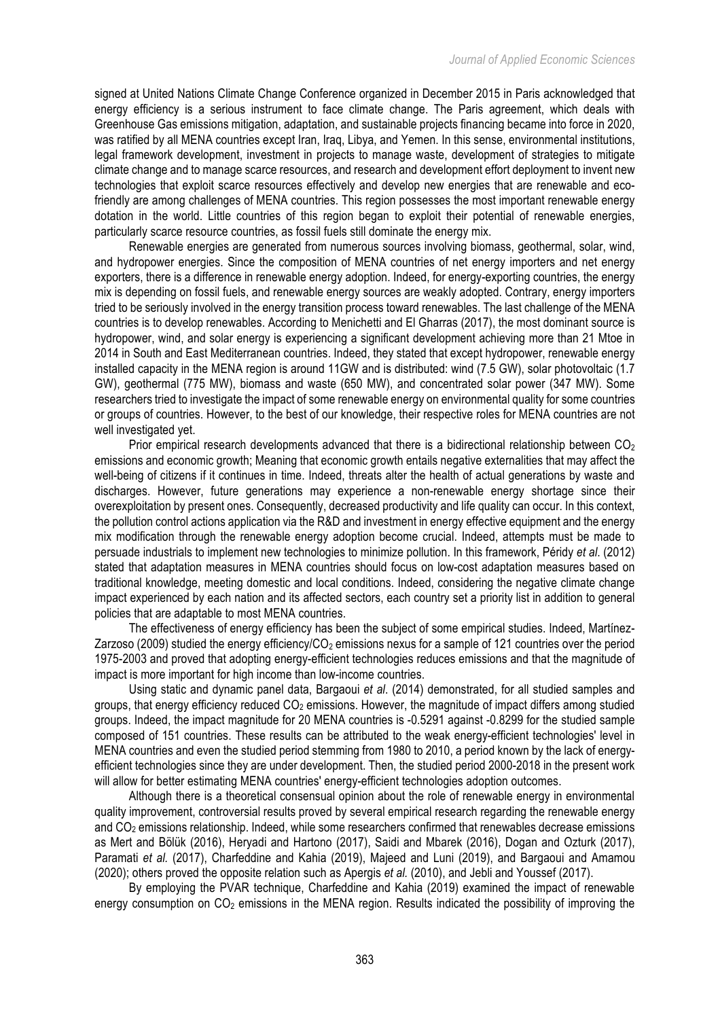signed at United Nations Climate Change Conference organized in December 2015 in Paris acknowledged that energy efficiency is a serious instrument to face climate change. The Paris agreement, which deals with Greenhouse Gas emissions mitigation, adaptation, and sustainable projects financing became into force in 2020, was ratified by all MENA countries except Iran, Iraq, Libya, and Yemen. In this sense, environmental institutions, legal framework development, investment in projects to manage waste, development of strategies to mitigate climate change and to manage scarce resources, and research and development effort deployment to invent new technologies that exploit scarce resources effectively and develop new energies that are renewable and ecofriendly are among challenges of MENA countries. This region possesses the most important renewable energy dotation in the world. Little countries of this region began to exploit their potential of renewable energies, particularly scarce resource countries, as fossil fuels still dominate the energy mix.

Renewable energies are generated from numerous sources involving biomass, geothermal, solar, wind, and hydropower energies. Since the composition of MENA countries of net energy importers and net energy exporters, there is a difference in renewable energy adoption. Indeed, for energy-exporting countries, the energy mix is depending on fossil fuels, and renewable energy sources are weakly adopted. Contrary, energy importers tried to be seriously involved in the energy transition process toward renewables. The last challenge of the MENA countries is to develop renewables. According to Menichetti and El Gharras (2017), the most dominant source is hydropower, wind, and solar energy is experiencing a significant development achieving more than 21 Mtoe in 2014 in South and East Mediterranean countries. Indeed, they stated that except hydropower, renewable energy installed capacity in the MENA region is around 11GW and is distributed: wind (7.5 GW), solar photovoltaic (1.7 GW), geothermal (775 MW), biomass and waste (650 MW), and concentrated solar power (347 MW). Some researchers tried to investigate the impact of some renewable energy on environmental quality for some countries or groups of countries. However, to the best of our knowledge, their respective roles for MENA countries are not well investigated yet.

Prior empirical research developments advanced that there is a bidirectional relationship between  $CO<sub>2</sub>$ emissions and economic growth; Meaning that economic growth entails negative externalities that may affect the well-being of citizens if it continues in time. Indeed, threats alter the health of actual generations by waste and discharges. However, future generations may experience a non-renewable energy shortage since their overexploitation by present ones. Consequently, decreased productivity and life quality can occur. In this context, the pollution control actions application via the R&D and investment in energy effective equipment and the energy mix modification through the renewable energy adoption become crucial. Indeed, attempts must be made to persuade industrials to implement new technologies to minimize pollution. In this framework, Péridy *et al*. (2012) stated that adaptation measures in MENA countries should focus on low-cost adaptation measures based on traditional knowledge, meeting domestic and local conditions. Indeed, considering the negative climate change impact experienced by each nation and its affected sectors, each country set a priority list in addition to general policies that are adaptable to most MENA countries.

The effectiveness of energy efficiency has been the subject of some empirical studies. Indeed, Martínez-Zarzoso (2009) studied the energy efficiency/ $CO<sub>2</sub>$  emissions nexus for a sample of 121 countries over the period 1975-2003 and proved that adopting energy-efficient technologies reduces emissions and that the magnitude of impact is more important for high income than low-income countries.

Using static and dynamic panel data, Bargaoui *et al*. (2014) demonstrated, for all studied samples and groups, that energy efficiency reduced  $CO<sub>2</sub>$  emissions. However, the magnitude of impact differs among studied groups. Indeed, the impact magnitude for 20 MENA countries is -0.5291 against -0.8299 for the studied sample composed of 151 countries. These results can be attributed to the weak energy-efficient technologies' level in MENA countries and even the studied period stemming from 1980 to 2010, a period known by the lack of energyefficient technologies since they are under development. Then, the studied period 2000-2018 in the present work will allow for better estimating MENA countries' energy-efficient technologies adoption outcomes.

Although there is a theoretical consensual opinion about the role of renewable energy in environmental quality improvement, controversial results proved by several empirical research regarding the renewable energy and CO2 emissions relationship. Indeed, while some researchers confirmed that renewables decrease emissions as Mert and Bölük (2016), Heryadi and Hartono (2017), Saidi and Mbarek (2016), Dogan and Ozturk (2017), Paramati *et al.* (2017), Charfeddine and Kahia (2019), Majeed and Luni (2019), and Bargaoui and Amamou (2020); others proved the opposite relation such as Apergis *et al.* (2010), and Jebli and Youssef (2017).

By employing the PVAR technique, Charfeddine and Kahia (2019) examined the impact of renewable energy consumption on  $CO<sub>2</sub>$  emissions in the MENA region. Results indicated the possibility of improving the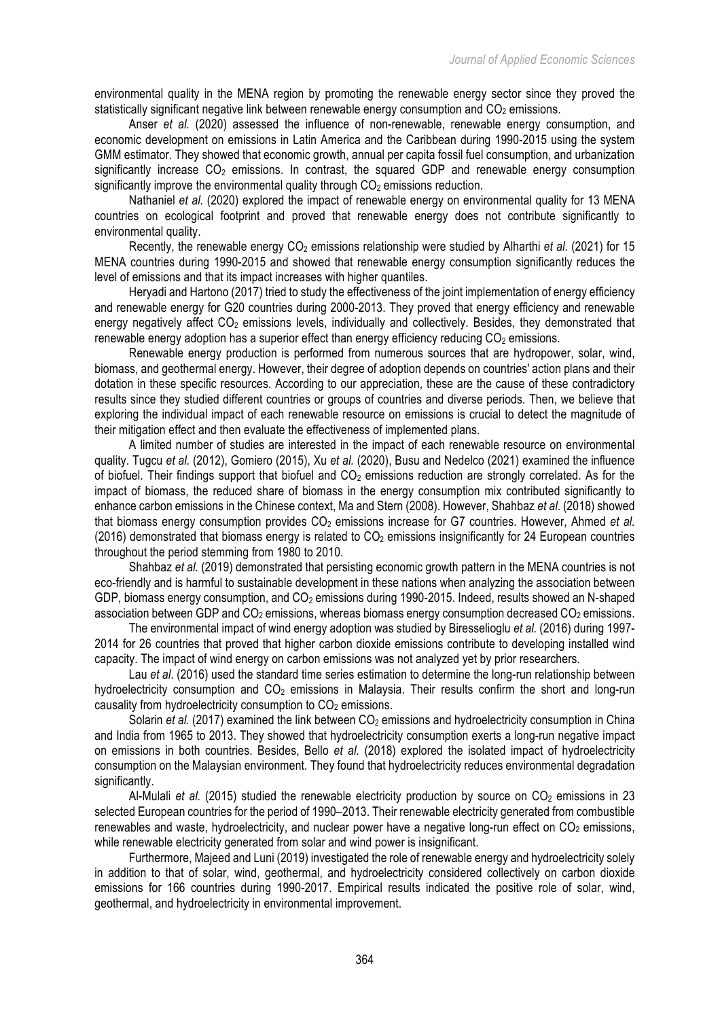environmental quality in the MENA region by promoting the renewable energy sector since they proved the statistically significant negative link between renewable energy consumption and  $CO<sub>2</sub>$  emissions.

Anser *et al.* (2020) assessed the influence of non-renewable, renewable energy consumption, and economic development on emissions in Latin America and the Caribbean during 1990-2015 using the system GMM estimator. They showed that economic growth, annual per capita fossil fuel consumption, and urbanization significantly increase  $CO<sub>2</sub>$  emissions. In contrast, the squared GDP and renewable energy consumption significantly improve the environmental quality through  $CO<sub>2</sub>$  emissions reduction.

Nathaniel *et al.* (2020) explored the impact of renewable energy on environmental quality for 13 MENA countries on ecological footprint and proved that renewable energy does not contribute significantly to environmental quality.

Recently, the renewable energy CO<sub>2</sub> emissions relationship were studied by Alharthi *et al.* (2021) for 15 MENA countries during 1990-2015 and showed that renewable energy consumption significantly reduces the level of emissions and that its impact increases with higher quantiles.

Heryadi and Hartono (2017) tried to study the effectiveness of the joint implementation of energy efficiency and renewable energy for G20 countries during 2000-2013. They proved that energy efficiency and renewable energy negatively affect CO<sub>2</sub> emissions levels, individually and collectively. Besides, they demonstrated that renewable energy adoption has a superior effect than energy efficiency reducing  $CO<sub>2</sub>$  emissions.

Renewable energy production is performed from numerous sources that are hydropower, solar, wind, biomass, and geothermal energy. However, their degree of adoption depends on countries' action plans and their dotation in these specific resources. According to our appreciation, these are the cause of these contradictory results since they studied different countries or groups of countries and diverse periods. Then, we believe that exploring the individual impact of each renewable resource on emissions is crucial to detect the magnitude of their mitigation effect and then evaluate the effectiveness of implemented plans.

A limited number of studies are interested in the impact of each renewable resource on environmental quality. Tugcu *et al.* (2012), Gomiero (2015), Xu *et al.* (2020), Busu and Nedelco (2021) examined the influence of biofuel. Their findings support that biofuel and  $CO<sub>2</sub>$  emissions reduction are strongly correlated. As for the impact of biomass, the reduced share of biomass in the energy consumption mix contributed significantly to enhance carbon emissions in the Chinese context, Ma and Stern (2008). However, Shahbaz *et al*. (2018) showed that biomass energy consumption provides CO<sub>2</sub> emissions increase for G7 countries. However, Ahmed *et al.* (2016) demonstrated that biomass energy is related to  $CO<sub>2</sub>$  emissions insignificantly for 24 European countries throughout the period stemming from 1980 to 2010.

Shahbaz *et al.* (2019) demonstrated that persisting economic growth pattern in the MENA countries is not eco-friendly and is harmful to sustainable development in these nations when analyzing the association between GDP, biomass energy consumption, and CO<sub>2</sub> emissions during 1990-2015. Indeed, results showed an N-shaped association between GDP and  $CO<sub>2</sub>$  emissions, whereas biomass energy consumption decreased  $CO<sub>2</sub>$  emissions.

The environmental impact of wind energy adoption was studied by Biresselioglu *et al.* (2016) during 1997- 2014 for 26 countries that proved that higher carbon dioxide emissions contribute to developing installed wind capacity. The impact of wind energy on carbon emissions was not analyzed yet by prior researchers.

Lau *et al*. (2016) used the standard time series estimation to determine the long-run relationship between hydroelectricity consumption and  $CO<sub>2</sub>$  emissions in Malaysia. Their results confirm the short and long-run causality from hydroelectricity consumption to  $CO<sub>2</sub>$  emissions.

Solarin *et al.* (2017) examined the link between CO<sub>2</sub> emissions and hydroelectricity consumption in China and India from 1965 to 2013. They showed that hydroelectricity consumption exerts a long-run negative impact on emissions in both countries. Besides, Bello *et al.* (2018) explored the isolated impact of hydroelectricity consumption on the Malaysian environment. They found that hydroelectricity reduces environmental degradation significantly.

Al-Mulali *et al.* (2015) studied the renewable electricity production by source on CO<sub>2</sub> emissions in 23 selected European countries for the period of 1990–2013. Their renewable electricity generated from combustible renewables and waste, hydroelectricity, and nuclear power have a negative long-run effect on  $CO<sub>2</sub>$  emissions, while renewable electricity generated from solar and wind power is insignificant.

Furthermore, Majeed and Luni (2019) investigated the role of renewable energy and hydroelectricity solely in addition to that of solar, wind, geothermal, and hydroelectricity considered collectively on carbon dioxide emissions for 166 countries during 1990-2017. Empirical results indicated the positive role of solar, wind, geothermal, and hydroelectricity in environmental improvement.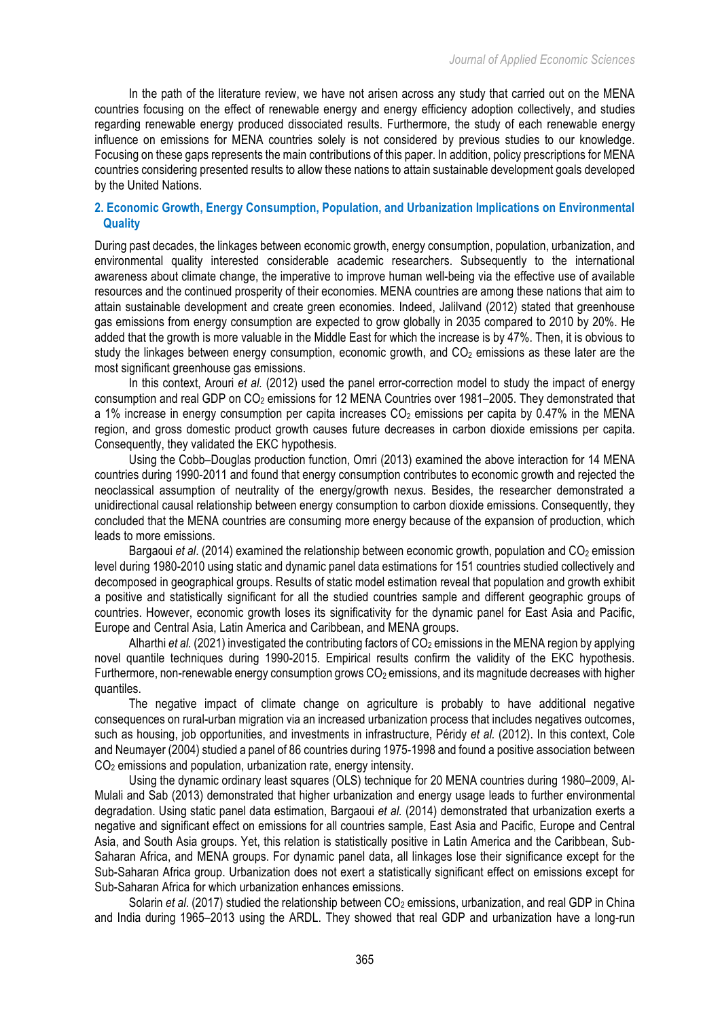In the path of the literature review, we have not arisen across any study that carried out on the MENA countries focusing on the effect of renewable energy and energy efficiency adoption collectively, and studies regarding renewable energy produced dissociated results. Furthermore, the study of each renewable energy influence on emissions for MENA countries solely is not considered by previous studies to our knowledge. Focusing on these gaps represents the main contributions of this paper. In addition, policy prescriptions for MENA countries considering presented results to allow these nations to attain sustainable development goals developed by the United Nations.

# **2. Economic Growth, Energy Consumption, Population, and Urbanization Implications on Environmental Quality**

During past decades, the linkages between economic growth, energy consumption, population, urbanization, and environmental quality interested considerable academic researchers. Subsequently to the international awareness about climate change, the imperative to improve human well-being via the effective use of available resources and the continued prosperity of their economies. MENA countries are among these nations that aim to attain sustainable development and create green economies. Indeed, Jalilvand (2012) stated that greenhouse gas emissions from energy consumption are expected to grow globally in 2035 compared to 2010 by 20%. He added that the growth is more valuable in the Middle East for which the increase is by 47%. Then, it is obvious to study the linkages between energy consumption, economic growth, and  $CO<sub>2</sub>$  emissions as these later are the most significant greenhouse gas emissions.

In this context, Arouri *et al.* (2012) used the panel error-correction model to study the impact of energy consumption and real GDP on CO<sub>2</sub> emissions for 12 MENA Countries over 1981–2005. They demonstrated that a 1% increase in energy consumption per capita increases  $CO<sub>2</sub>$  emissions per capita by 0.47% in the MENA region, and gross domestic product growth causes future decreases in carbon dioxide emissions per capita. Consequently, they validated the EKC hypothesis.

Using the Cobb–Douglas production function, Omri (2013) examined the above interaction for 14 MENA countries during 1990-2011 and found that energy consumption contributes to economic growth and rejected the neoclassical assumption of neutrality of the energy/growth nexus. Besides, the researcher demonstrated a unidirectional causal relationship between energy consumption to carbon dioxide emissions. Consequently, they concluded that the MENA countries are consuming more energy because of the expansion of production, which leads to more emissions.

Bargaoui *et al.* (2014) examined the relationship between economic growth, population and CO<sub>2</sub> emission level during 1980-2010 using static and dynamic panel data estimations for 151 countries studied collectively and decomposed in geographical groups. Results of static model estimation reveal that population and growth exhibit a positive and statistically significant for all the studied countries sample and different geographic groups of countries. However, economic growth loses its significativity for the dynamic panel for East Asia and Pacific, Europe and Central Asia, Latin America and Caribbean, and MENA groups.

Alharthi *et al.* (2021) investigated the contributing factors of CO<sub>2</sub> emissions in the MENA region by applying novel quantile techniques during 1990-2015. Empirical results confirm the validity of the EKC hypothesis. Furthermore, non-renewable energy consumption grows  $CO<sub>2</sub>$  emissions, and its magnitude decreases with higher quantiles.

The negative impact of climate change on agriculture is probably to have additional negative consequences on rural-urban migration via an increased urbanization process that includes negatives outcomes, such as housing, job opportunities, and investments in infrastructure, Péridy *et al.* (2012). In this context, Cole and Neumayer (2004) studied a panel of 86 countries during 1975-1998 and found a positive association between CO<sub>2</sub> emissions and population, urbanization rate, energy intensity.

Using the dynamic ordinary least squares (OLS) technique for 20 MENA countries during 1980–2009, Al-Mulali and Sab (2013) demonstrated that higher urbanization and energy usage leads to further environmental degradation. Using static panel data estimation, Bargaoui *et al.* (2014) demonstrated that urbanization exerts a negative and significant effect on emissions for all countries sample, East Asia and Pacific, Europe and Central Asia, and South Asia groups. Yet, this relation is statistically positive in Latin America and the Caribbean, Sub-Saharan Africa, and MENA groups. For dynamic panel data, all linkages lose their significance except for the Sub-Saharan Africa group. Urbanization does not exert a statistically significant effect on emissions except for Sub-Saharan Africa for which urbanization enhances emissions.

Solarin *et al.* (2017) studied the relationship between CO<sub>2</sub> emissions, urbanization, and real GDP in China and India during 1965–2013 using the ARDL. They showed that real GDP and urbanization have a long-run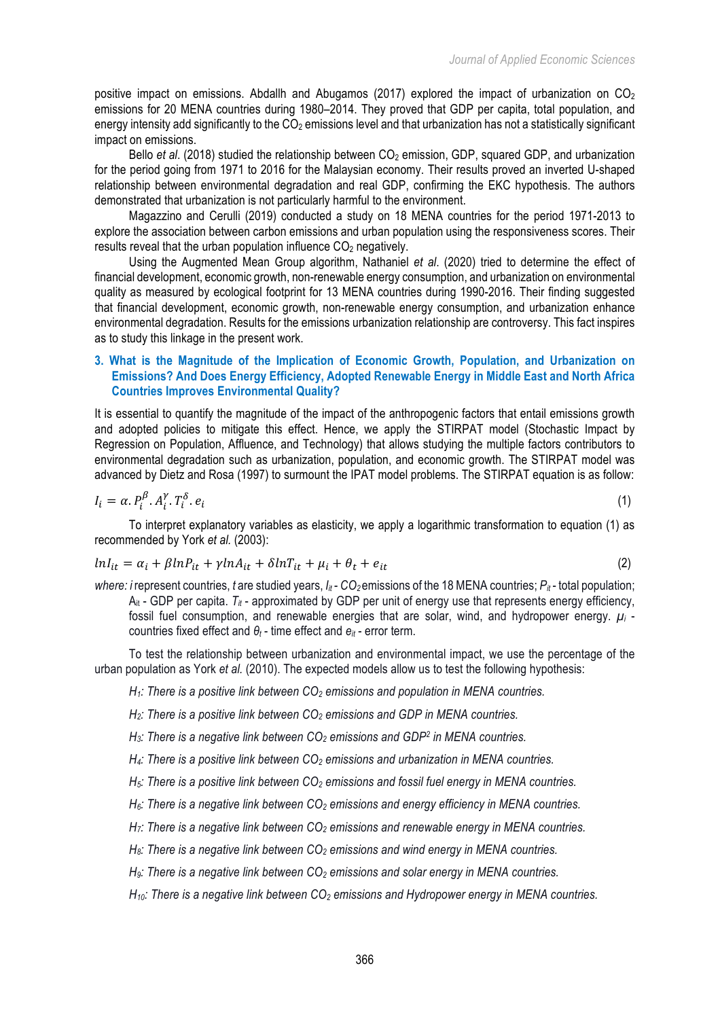positive impact on emissions. Abdallh and Abugamos (2017) explored the impact of urbanization on  $CO<sub>2</sub>$ emissions for 20 MENA countries during 1980–2014. They proved that GDP per capita, total population, and energy intensity add significantly to the CO<sub>2</sub> emissions level and that urbanization has not a statistically significant impact on emissions.

Bello *et al.* (2018) studied the relationship between CO<sub>2</sub> emission, GDP, squared GDP, and urbanization for the period going from 1971 to 2016 for the Malaysian economy. Their results proved an inverted U-shaped relationship between environmental degradation and real GDP, confirming the EKC hypothesis. The authors demonstrated that urbanization is not particularly harmful to the environment.

Magazzino and Cerulli (2019) conducted a study on 18 MENA countries for the period 1971-2013 to explore the association between carbon emissions and urban population using the responsiveness scores. Their results reveal that the urban population influence  $CO<sub>2</sub>$  negatively.

Using the Augmented Mean Group algorithm, Nathaniel *et al*. (2020) tried to determine the effect of financial development, economic growth, non-renewable energy consumption, and urbanization on environmental quality as measured by ecological footprint for 13 MENA countries during 1990-2016. Their finding suggested that financial development, economic growth, non-renewable energy consumption, and urbanization enhance environmental degradation. Results for the emissions urbanization relationship are controversy. This fact inspires as to study this linkage in the present work.

## **3. What is the Magnitude of the Implication of Economic Growth, Population, and Urbanization on Emissions? And Does Energy Efficiency, Adopted Renewable Energy in Middle East and North Africa Countries Improves Environmental Quality?**

It is essential to quantify the magnitude of the impact of the anthropogenic factors that entail emissions growth and adopted policies to mitigate this effect. Hence, we apply the STIRPAT model (Stochastic Impact by Regression on Population, Affluence, and Technology) that allows studying the multiple factors contributors to environmental degradation such as urbanization, population, and economic growth. The STIRPAT model was advanced by Dietz and Rosa (1997) to surmount the IPAT model problems. The STIRPAT equation is as follow:

$$
I_i = \alpha P_i^{\beta} P_i^{\gamma} T_i^{\delta} P_i \tag{1}
$$

To interpret explanatory variables as elasticity, we apply a logarithmic transformation to equation (1) as recommended by York *et al.* (2003):

$$
lnI_{it} = \alpha_i + \beta lnP_{it} + \gamma lnA_{it} + \delta lnT_{it} + \mu_i + \theta_t + e_{it}
$$
\n<sup>(2)</sup>

*where: i* represent countries, *t* are studied years,  $I_{it}$  -  $CO_2$  emissions of the 18 MENA countries;  $P_{it}$  - total population;  $A_{it}$  - GDP per capita.  $T_{it}$  - approximated by GDP per unit of energy use that represents energy efficiency, fossil fuel consumption, and renewable energies that are solar, wind, and hydropower energy. *µi* countries fixed effect and *θ<sup>t</sup>* - time effect and *eit* - error term.

To test the relationship between urbanization and environmental impact, we use the percentage of the urban population as York *et al.* (2010). The expected models allow us to test the following hypothesis:

*H1: There is a positive link between CO2 emissions and population in MENA countries.*

*H2: There is a positive link between CO2 emissions and GDP in MENA countries.*

*H3: There is a negative link between CO2 emissions and GDP2 in MENA countries.*

*H4: There is a positive link between CO2 emissions and urbanization in MENA countries.*

*H<sub>5</sub>: There is a positive link between*  $CO<sub>2</sub>$  *emissions and fossil fuel energy in MENA countries.* 

*H<sub>6</sub>: There is a negative link between CO<sub>2</sub> emissions and energy efficiency in MENA countries.* 

*H7: There is a negative link between CO2 emissions and renewable energy in MENA countries.*

*H<sub>8</sub>: There is a negative link between CO<sub>2</sub> emissions and wind energy in MENA countries.* 

*H<sub>9</sub>: There is a negative link between CO<sub>2</sub> emissions and solar energy in MENA countries.* 

*H10: There is a negative link between CO2 emissions and Hydropower energy in MENA countries.*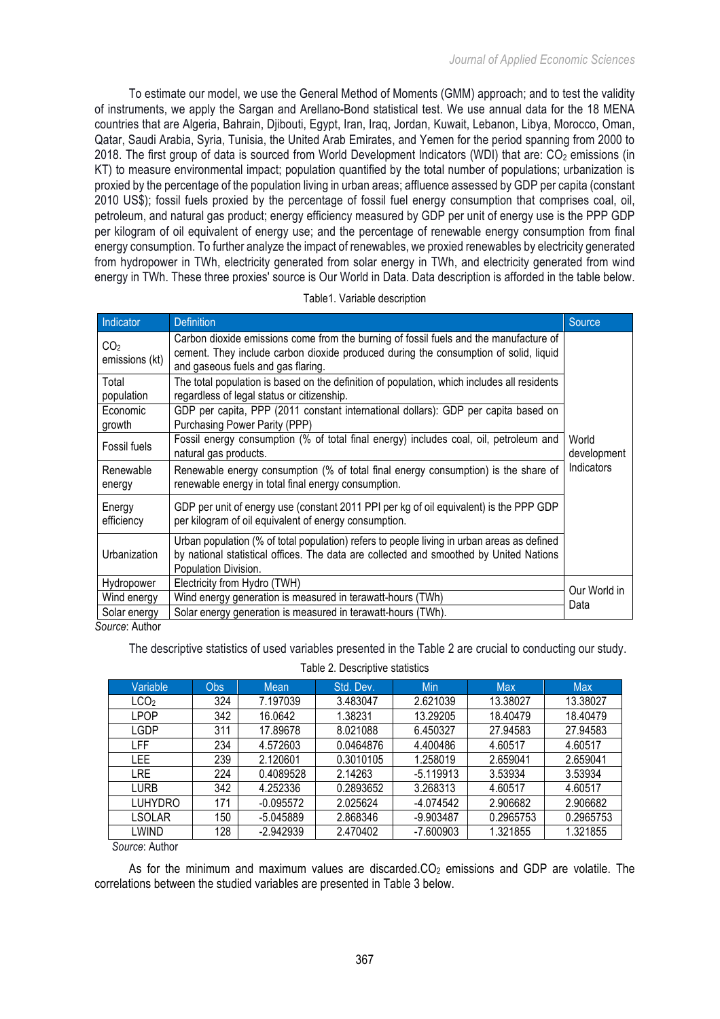To estimate our model, we use the General Method of Moments (GMM) approach; and to test the validity of instruments, we apply the Sargan and Arellano-Bond statistical test. We use annual data for the 18 MENA countries that are Algeria, Bahrain, Djibouti, Egypt, Iran, Iraq, Jordan, Kuwait, Lebanon, Libya, Morocco, Oman, Qatar, Saudi Arabia, Syria, Tunisia, the United Arab Emirates, and Yemen for the period spanning from 2000 to 2018. The first group of data is sourced from World Development Indicators (WDI) that are:  $CO<sub>2</sub>$  emissions (in KT) to measure environmental impact; population quantified by the total number of populations; urbanization is proxied by the percentage of the population living in urban areas; affluence assessed by GDP per capita (constant 2010 US\$); fossil fuels proxied by the percentage of fossil fuel energy consumption that comprises coal, oil, petroleum, and natural gas product; energy efficiency measured by GDP per unit of energy use is the PPP GDP per kilogram of oil equivalent of energy use; and the percentage of renewable energy consumption from final energy consumption. To further analyze the impact of renewables, we proxied renewables by electricity generated from hydropower in TWh, electricity generated from solar energy in TWh, and electricity generated from wind energy in TWh. These three proxies' source is Our World in Data. Data description is afforded in the table below.

| Indicator                                                                              | <b>Definition</b>                                                                                                                                                                                                   | Source       |  |  |  |  |
|----------------------------------------------------------------------------------------|---------------------------------------------------------------------------------------------------------------------------------------------------------------------------------------------------------------------|--------------|--|--|--|--|
| CO <sub>2</sub><br>emissions (kt)                                                      | Carbon dioxide emissions come from the burning of fossil fuels and the manufacture of<br>cement. They include carbon dioxide produced during the consumption of solid, liquid<br>and gaseous fuels and gas flaring. |              |  |  |  |  |
| Total<br>population                                                                    | The total population is based on the definition of population, which includes all residents<br>regardless of legal status or citizenship.                                                                           |              |  |  |  |  |
| Economic<br>growth                                                                     | GDP per capita, PPP (2011 constant international dollars): GDP per capita based on<br>Purchasing Power Parity (PPP)                                                                                                 |              |  |  |  |  |
| Fossil fuels                                                                           | Fossil energy consumption (% of total final energy) includes coal, oil, petroleum and<br>natural gas products.<br>development                                                                                       |              |  |  |  |  |
| Renewable<br>energy                                                                    | Renewable energy consumption (% of total final energy consumption) is the share of<br>renewable energy in total final energy consumption.                                                                           |              |  |  |  |  |
| Energy<br>efficiency                                                                   | GDP per unit of energy use (constant 2011 PPI per kg of oil equivalent) is the PPP GDP<br>per kilogram of oil equivalent of energy consumption.                                                                     |              |  |  |  |  |
| Urbanization                                                                           | Urban population (% of total population) refers to people living in urban areas as defined<br>by national statistical offices. The data are collected and smoothed by United Nations<br>Population Division.        |              |  |  |  |  |
| Hydropower                                                                             | Electricity from Hydro (TWH)                                                                                                                                                                                        | Our World in |  |  |  |  |
| Wind energy                                                                            | Wind energy generation is measured in terawatt-hours (TWh)                                                                                                                                                          |              |  |  |  |  |
| Solar energy<br>$\mathcal{C}_{\mathcal{A}U\mathcal{V}\mathcal{A}\mathcal{A}}$ . Author | Solar energy generation is measured in terawatt-hours (TWh).                                                                                                                                                        |              |  |  |  |  |

Table1. Variable description

*Source*: Author

The descriptive statistics of used variables presented in the Table 2 are crucial to conducting our study.

| Variable         | Obs | Mean        | Std. Dev. | Min         | <b>Max</b> | <b>Max</b> |
|------------------|-----|-------------|-----------|-------------|------------|------------|
| LCO <sub>2</sub> | 324 | 7.197039    | 3.483047  | 2.621039    | 13.38027   | 13.38027   |
| LPOP             | 342 | 16.0642     | 1.38231   | 13.29205    | 18.40479   | 18.40479   |
| LGDP             | 311 | 17.89678    | 8.021088  | 6.450327    | 27.94583   | 27.94583   |
| LFF              | 234 | 4.572603    | 0.0464876 | 4.400486    | 4.60517    | 4.60517    |
| LEE              | 239 | 2.120601    | 0.3010105 | 1.258019    | 2.659041   | 2.659041   |
| LRE              | 224 | 0.4089528   | 2.14263   | $-5.119913$ | 3.53934    | 3.53934    |
| LURB             | 342 | 4.252336    | 0.2893652 | 3.268313    | 4.60517    | 4.60517    |
| LUHYDRO          | 171 | $-0.095572$ | 2.025624  | $-4.074542$ | 2.906682   | 2.906682   |
| LSOLAR           | 150 | -5.045889   | 2.868346  | -9.903487   | 0.2965753  | 0.2965753  |
| LWIND            | 128 | $-2.942939$ | 2.470402  | $-7.600903$ | 1.321855   | 1.321855   |
|                  |     |             |           |             |            |            |

### Table 2. Descriptive statistics

*Source*: Author

As for the minimum and maximum values are discarded. $CO<sub>2</sub>$  emissions and GDP are volatile. The correlations between the studied variables are presented in Table 3 below.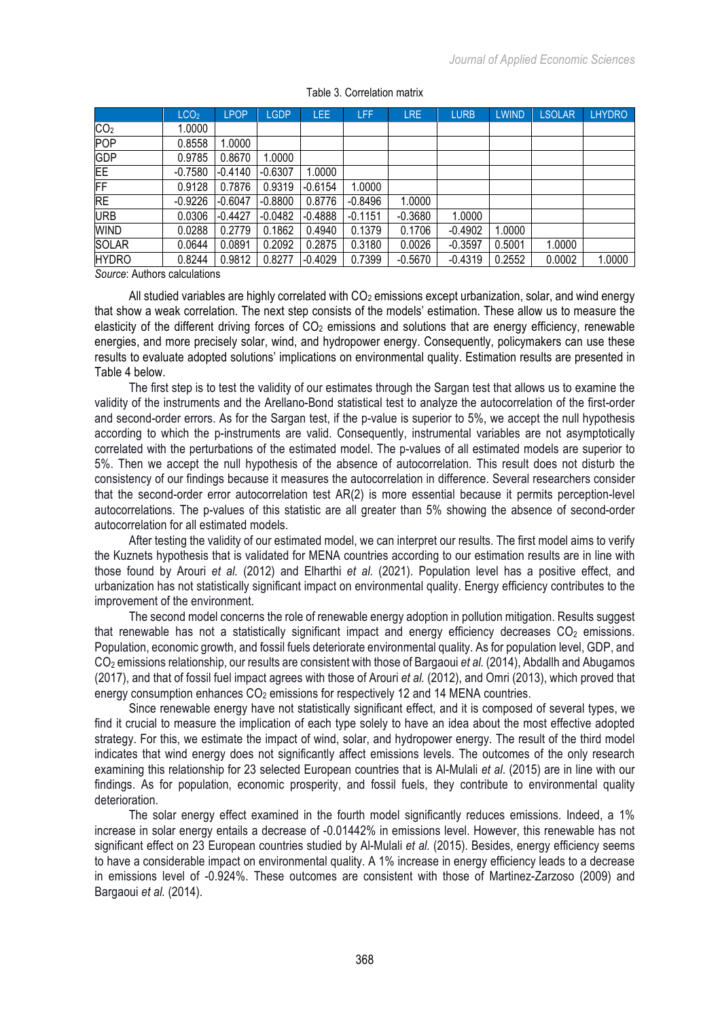|                 | LCO <sub>2</sub> | <b>LPOP</b> | <b>LGDP</b> | LEE       | LFF       | <b>LRE</b> | <b>LURB</b> | <b>LWIND</b> | <b>LSOLAR</b> | <b>LHYDRO</b> |
|-----------------|------------------|-------------|-------------|-----------|-----------|------------|-------------|--------------|---------------|---------------|
| CO <sub>2</sub> | 1.0000           |             |             |           |           |            |             |              |               |               |
| POP             | 0.8558           | .0000       |             |           |           |            |             |              |               |               |
| <b>GDP</b>      | 0.9785           | 0.8670      | .0000       |           |           |            |             |              |               |               |
| EE              | $-0.7580$        | $-0.4140$   | $-0.6307$   | .0000     |           |            |             |              |               |               |
| FF              | 0.9128           | 0.7876      | 0.9319      | $-0.6154$ | .0000     |            |             |              |               |               |
| <b>RE</b>       | $-0.9226$        | $-0.6047$   | $-0.8800$   | 0.8776    | $-0.8496$ | 1.0000     |             |              |               |               |
| <b>URB</b>      | 0.0306           | $-0.4427$   | $-0.0482$   | $-0.4888$ | $-0.1151$ | $-0.3680$  | 1.0000      |              |               |               |
| WIND            | 0.0288           | 0.2779      | 0.1862      | 0.4940    | 0.1379    | 0.1706     | $-0.4902$   | .0000        |               |               |
| <b>SOLAR</b>    | 0.0644           | 0.0891      | 0.2092      | 0.2875    | 0.3180    | 0.0026     | $-0.3597$   | 0.5001       | 1.0000        |               |
| <b>HYDRO</b>    | 0.8244           | 0.9812      | 0.8277      | $-0.4029$ | 0.7399    | $-0.5670$  | $-0.4319$   | 0.2552       | 0.0002        | 1.0000        |
|                 |                  |             |             |           |           |            |             |              |               |               |

#### Table 3. Correlation matrix

*Source*: Authors calculations

All studied variables are highly correlated with  $CO<sub>2</sub>$  emissions except urbanization, solar, and wind energy that show a weak correlation. The next step consists of the models' estimation. These allow us to measure the elasticity of the different driving forces of  $CO<sub>2</sub>$  emissions and solutions that are energy efficiency, renewable energies, and more precisely solar, wind, and hydropower energy. Consequently, policymakers can use these results to evaluate adopted solutions' implications on environmental quality. Estimation results are presented in Table 4 below.

The first step is to test the validity of our estimates through the Sargan test that allows us to examine the validity of the instruments and the Arellano-Bond statistical test to analyze the autocorrelation of the first-order and second-order errors. As for the Sargan test, if the p-value is superior to 5%, we accept the null hypothesis according to which the p-instruments are valid. Consequently, instrumental variables are not asymptotically correlated with the perturbations of the estimated model. The p-values of all estimated models are superior to 5%. Then we accept the null hypothesis of the absence of autocorrelation. This result does not disturb the consistency of our findings because it measures the autocorrelation in difference. Several researchers consider that the second-order error autocorrelation test AR(2) is more essential because it permits perception-level autocorrelations. The p-values of this statistic are all greater than 5% showing the absence of second-order autocorrelation for all estimated models.

After testing the validity of our estimated model, we can interpret our results. The first model aims to verify the Kuznets hypothesis that is validated for MENA countries according to our estimation results are in line with those found by Arouri *et al.* (2012) and Elharthi *et al.* (2021). Population level has a positive effect, and urbanization has not statistically significant impact on environmental quality. Energy efficiency contributes to the improvement of the environment.

The second model concerns the role of renewable energy adoption in pollution mitigation. Results suggest that renewable has not a statistically significant impact and energy efficiency decreases  $CO<sub>2</sub>$  emissions. Population, economic growth, and fossil fuels deteriorate environmental quality. As for population level, GDP, and CO2 emissions relationship, our results are consistent with those of Bargaoui *et al.* (2014), Abdallh and Abugamos (2017), and that of fossil fuel impact agrees with those of Arouri *et al.* (2012), and Omri (2013), which proved that energy consumption enhances  $CO<sub>2</sub>$  emissions for respectively 12 and 14 MENA countries.

Since renewable energy have not statistically significant effect, and it is composed of several types, we find it crucial to measure the implication of each type solely to have an idea about the most effective adopted strategy. For this, we estimate the impact of wind, solar, and hydropower energy. The result of the third model indicates that wind energy does not significantly affect emissions levels. The outcomes of the only research examining this relationship for 23 selected European countries that is Al-Mulali *et al*. (2015) are in line with our findings. As for population, economic prosperity, and fossil fuels, they contribute to environmental quality deterioration.

The solar energy effect examined in the fourth model significantly reduces emissions. Indeed, a 1% increase in solar energy entails a decrease of -0.01442% in emissions level. However, this renewable has not significant effect on 23 European countries studied by Al-Mulali *et al.* (2015). Besides, energy efficiency seems to have a considerable impact on environmental quality. A 1% increase in energy efficiency leads to a decrease in emissions level of -0.924%. These outcomes are consistent with those of Martinez-Zarzoso (2009) and Bargaoui *et al.* (2014).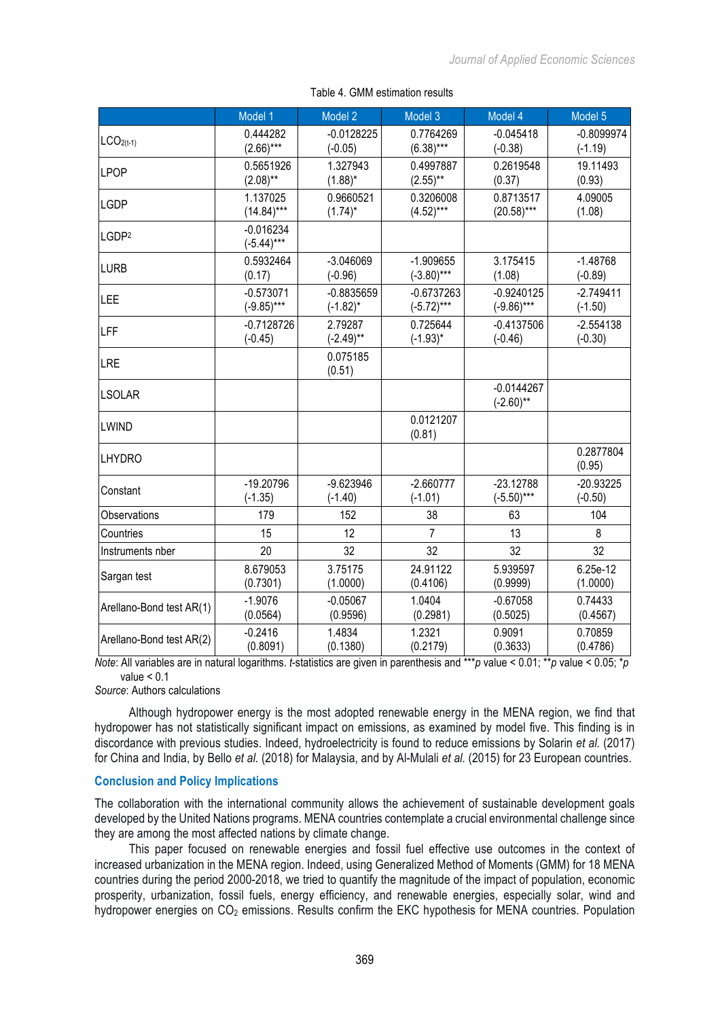|                          | Model 1                     | Model 2            | Model 3             | Model 4                      | Model 5             |
|--------------------------|-----------------------------|--------------------|---------------------|------------------------------|---------------------|
| $LCO2(t-1)$              | 0.444282                    | $-0.0128225$       | 0.7764269           | $-0.045418$                  | $-0.8099974$        |
|                          | $(2.66)***$                 | $(-0.05)$          | $(6.38)***$         | $(-0.38)$                    | $(-1.19)$           |
| LPOP                     | 0.5651926                   | 1.327943           | 0.4997887           | 0.2619548                    | 19.11493            |
|                          | $(2.08)$ **                 | $(1.88)^*$         | $(2.55)$ **         | (0.37)                       | (0.93)              |
| <b>LGDP</b>              | 1.137025                    | 0.9660521          | 0.3206008           | 0.8713517                    | 4.09005             |
|                          | $(14.84)***$                | $(1.74)^*$         | $(4.52)***$         | $(20.58)***$                 | (1.08)              |
| LGDP <sup>2</sup>        | $-0.016234$<br>$(-5.44)***$ |                    |                     |                              |                     |
| <b>LURB</b>              | 0.5932464                   | $-3.046069$        | $-1.909655$         | 3.175415                     | $-1.48768$          |
|                          | (0.17)                      | $(-0.96)$          | $(-3.80)***$        | (1.08)                       | $(-0.89)$           |
| LEE                      | $-0.573071$                 | $-0.8835659$       | $-0.6737263$        | $-0.9240125$                 | $-2.749411$         |
|                          | $(-9.85)***$                | $(-1.82)^*$        | $(-5.72)***$        | $(-9.86)***$                 | $(-1.50)$           |
| <b>LFF</b>               | $-0.7128726$                | 2.79287            | 0.725644            | $-0.4137506$                 | $-2.554138$         |
|                          | $(-0.45)$                   | $(-2.49)$ **       | $(-1.93)^*$         | $(-0.46)$                    | $(-0.30)$           |
| <b>LRE</b>               |                             | 0.075185<br>(0.51) |                     |                              |                     |
| <b>LSOLAR</b>            |                             |                    |                     | $-0.0144267$<br>$(-2.60)$ ** |                     |
| <b>LWIND</b>             |                             |                    | 0.0121207<br>(0.81) |                              |                     |
| <b>LHYDRO</b>            |                             |                    |                     |                              | 0.2877804<br>(0.95) |
| Constant                 | $-19.20796$                 | $-9.623946$        | $-2.660777$         | $-23.12788$                  | $-20.93225$         |
|                          | $(-1.35)$                   | $(-1.40)$          | $(-1.01)$           | $(-5.50)$ ***                | $(-0.50)$           |
| Observations             | 179                         | 152                | 38                  | 63                           | 104                 |
| Countries                | 15                          | 12                 | $\overline{7}$      | 13                           | 8                   |
| Instruments nber         | 20                          | 32                 | 32                  | 32                           | 32                  |
| Sargan test              | 8.679053                    | 3.75175            | 24.91122            | 5.939597                     | 6.25e-12            |
|                          | (0.7301)                    | (1.0000)           | (0.4106)            | (0.9999)                     | (1.0000)            |
| Arellano-Bond test AR(1) | $-1.9076$                   | $-0.05067$         | 1.0404              | $-0.67058$                   | 0.74433             |
|                          | (0.0564)                    | (0.9596)           | (0.2981)            | (0.5025)                     | (0.4567)            |
| Arellano-Bond test AR(2) | $-0.2416$                   | 1.4834             | 1.2321              | 0.9091                       | 0.70859             |
|                          | (0.8091)                    | (0.1380)           | (0.2179)            | (0.3633)                     | (0.4786)            |

### Table 4. GMM estimation results

*Note*: All variables are in natural logarithms. *t*-statistics are given in parenthesis and \*\*\**p* value < 0.01; \*\**p* value < 0.05; \**p*  value < 0.1

*Source*: Authors calculations

Although hydropower energy is the most adopted renewable energy in the MENA region, we find that hydropower has not statistically significant impact on emissions, as examined by model five. This finding is in discordance with previous studies. Indeed, hydroelectricity is found to reduce emissions by Solarin *et al.* (2017) for China and India, by Bello *et al.* (2018) for Malaysia, and by Al-Mulali *et al.* (2015) for 23 European countries.

### **Conclusion and Policy Implications**

The collaboration with the international community allows the achievement of sustainable development goals developed by the United Nations programs. MENA countries contemplate a crucial environmental challenge since they are among the most affected nations by climate change.

This paper focused on renewable energies and fossil fuel effective use outcomes in the context of increased urbanization in the MENA region. Indeed, using Generalized Method of Moments (GMM) for 18 MENA countries during the period 2000-2018, we tried to quantify the magnitude of the impact of population, economic prosperity, urbanization, fossil fuels, energy efficiency, and renewable energies, especially solar, wind and hydropower energies on CO<sub>2</sub> emissions. Results confirm the EKC hypothesis for MENA countries. Population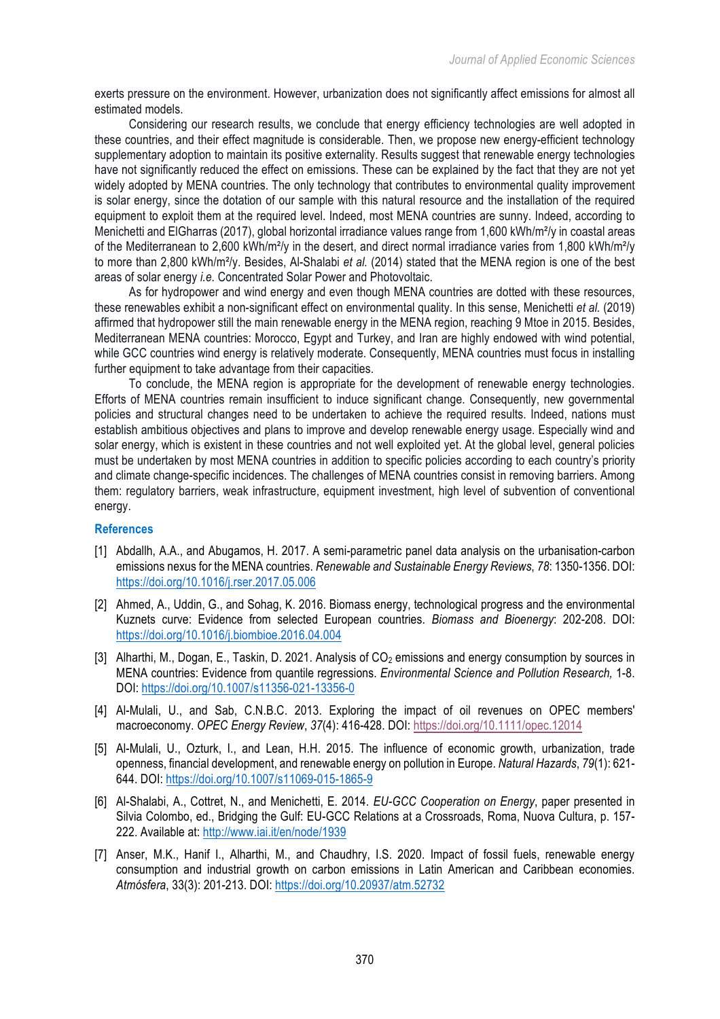exerts pressure on the environment. However, urbanization does not significantly affect emissions for almost all estimated models.

Considering our research results, we conclude that energy efficiency technologies are well adopted in these countries, and their effect magnitude is considerable. Then, we propose new energy-efficient technology supplementary adoption to maintain its positive externality. Results suggest that renewable energy technologies have not significantly reduced the effect on emissions. These can be explained by the fact that they are not yet widely adopted by MENA countries. The only technology that contributes to environmental quality improvement is solar energy, since the dotation of our sample with this natural resource and the installation of the required equipment to exploit them at the required level. Indeed, most MENA countries are sunny. Indeed, according to Menichetti and ElGharras (2017), global horizontal irradiance values range from 1,600 kWh/m<sup>2</sup>/y in coastal areas of the Mediterranean to 2,600 kWh/m²/y in the desert, and direct normal irradiance varies from 1,800 kWh/m²/y to more than 2,800 kWh/m²/y. Besides, Al-Shalabi *et al.* (2014) stated that the MENA region is one of the best areas of solar energy *i.e.* Concentrated Solar Power and Photovoltaic.

As for hydropower and wind energy and even though MENA countries are dotted with these resources, these renewables exhibit a non-significant effect on environmental quality. In this sense, Menichetti *et al.* (2019) affirmed that hydropower still the main renewable energy in the MENA region, reaching 9 Mtoe in 2015. Besides, Mediterranean MENA countries: Morocco, Egypt and Turkey, and Iran are highly endowed with wind potential, while GCC countries wind energy is relatively moderate. Consequently, MENA countries must focus in installing further equipment to take advantage from their capacities.

To conclude, the MENA region is appropriate for the development of renewable energy technologies. Efforts of MENA countries remain insufficient to induce significant change. Consequently, new governmental policies and structural changes need to be undertaken to achieve the required results. Indeed, nations must establish ambitious objectives and plans to improve and develop renewable energy usage. Especially wind and solar energy, which is existent in these countries and not well exploited yet. At the global level, general policies must be undertaken by most MENA countries in addition to specific policies according to each country's priority and climate change-specific incidences. The challenges of MENA countries consist in removing barriers. Among them: regulatory barriers, weak infrastructure, equipment investment, high level of subvention of conventional energy.

### **References**

- [1] Abdallh, A.A., and Abugamos, H. 2017. A semi-parametric panel data analysis on the urbanisation-carbon emissions nexus for the MENA countries. *Renewable and Sustainable Energy Reviews*, *78*: 1350-1356. DOI: https://doi.org/10.1016/j.rser.2017.05.006
- [2] Ahmed, A., Uddin, G., and Sohag, K. 2016. Biomass energy, technological progress and the environmental Kuznets curve: Evidence from selected European countries. *Biomass and Bioenergy*: 202-208. DOI: https://doi.org/10.1016/j.biombioe.2016.04.004
- [3] Alharthi, M., Dogan, E., Taskin, D. 2021. Analysis of CO<sub>2</sub> emissions and energy consumption by sources in MENA countries: Evidence from quantile regressions. *Environmental Science and Pollution Research,* 1-8. DOI: https://doi.org/10.1007/s11356-021-13356-0
- [4] Al-Mulali, U., and Sab, C.N.B.C. 2013. Exploring the impact of oil revenues on OPEC members' macroeconomy. *OPEC Energy Review*, *37*(4): 416-428. DOI: https://doi.org/10.1111/opec.12014
- [5] Al-Mulali, U., Ozturk, I., and Lean, H.H. 2015. The influence of economic growth, urbanization, trade openness, financial development, and renewable energy on pollution in Europe. *Natural Hazards*, *79*(1): 621- 644. DOI: https://doi.org/10.1007/s11069-015-1865-9
- [6] Al-Shalabi, A., Cottret, N., and Menichetti, E. 2014. *EU-GCC Cooperation on Energy*, paper presented in Silvia Colombo, ed., Bridging the Gulf: EU-GCC Relations at a Crossroads, Roma, Nuova Cultura, p. 157- 222. Available at: http://www.iai.it/en/node/1939
- [7] Anser, M.K., Hanif I., Alharthi, M., and Chaudhry, I.S. 2020. Impact of fossil fuels, renewable energy consumption and industrial growth on carbon emissions in Latin American and Caribbean economies. *Atmósfera*, 33(3): 201-213. DOI: https://doi.org/10.20937/atm.52732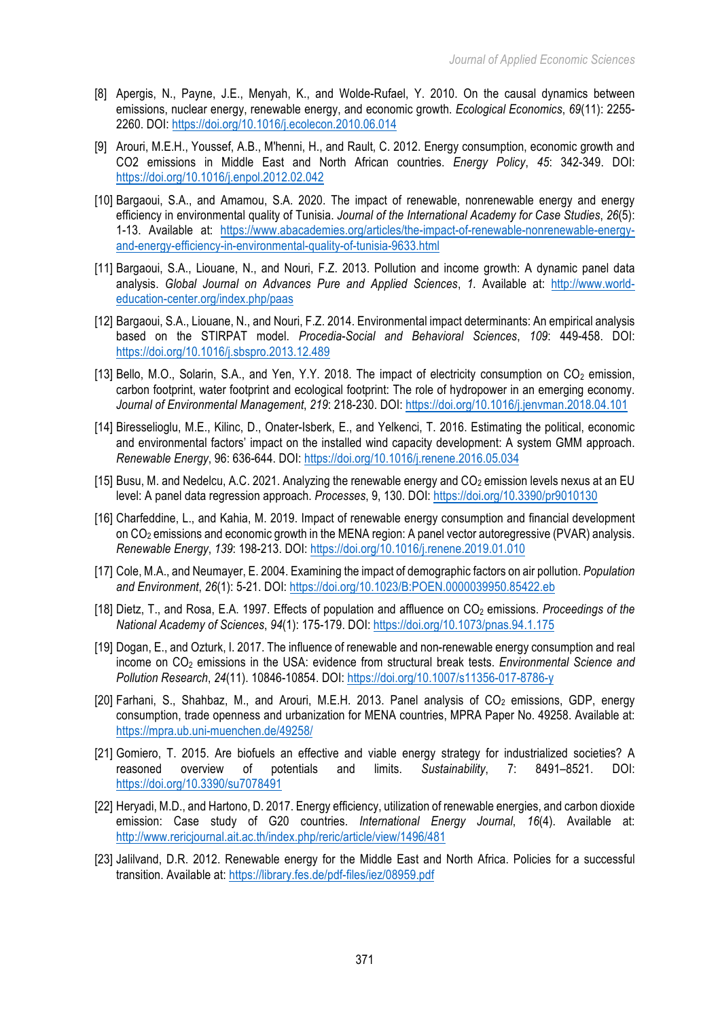- [8] Apergis, N., Payne, J.E., Menyah, K., and Wolde-Rufael, Y. 2010. On the causal dynamics between emissions, nuclear energy, renewable energy, and economic growth. *Ecological Economics*, *69*(11): 2255- 2260. DOI: https://doi.org/10.1016/j.ecolecon.2010.06.014
- [9] Arouri, M.E.H., Youssef, A.B., M'henni, H., and Rault, C. 2012. Energy consumption, economic growth and CO2 emissions in Middle East and North African countries. *Energy Policy*, *45*: 342-349. DOI: https://doi.org/10.1016/j.enpol.2012.02.042
- [10] Bargaoui, S.A., and Amamou, S.A. 2020. The impact of renewable, nonrenewable energy and energy efficiency in environmental quality of Tunisia. *Journal of the International Academy for Case Studies*, *26*(5): 1-13. Available at: https://www.abacademies.org/articles/the-impact-of-renewable-nonrenewable-energyand-energy-efficiency-in-environmental-quality-of-tunisia-9633.html
- [11] Bargaoui, S.A., Liouane, N., and Nouri, F.Z. 2013. Pollution and income growth: A dynamic panel data analysis. *Global Journal on Advances Pure and Applied Sciences*, *1.* Available at: http://www.worldeducation-center.org/index.php/paas
- [12] Bargaoui, S.A., Liouane, N., and Nouri, F.Z. 2014. Environmental impact determinants: An empirical analysis based on the STIRPAT model. *Procedia-Social and Behavioral Sciences*, *109*: 449-458. DOI: https://doi.org/10.1016/j.sbspro.2013.12.489
- [13] Bello, M.O., Solarin, S.A., and Yen, Y.Y. 2018. The impact of electricity consumption on CO<sub>2</sub> emission, carbon footprint, water footprint and ecological footprint: The role of hydropower in an emerging economy. *Journal of Environmental Management*, *219*: 218-230. DOI: https://doi.org/10.1016/j.jenvman.2018.04.101
- [14] Biresselioglu, M.E., Kilinc, D., Onater-Isberk, E., and Yelkenci, T. 2016. Estimating the political, economic and environmental factors' impact on the installed wind capacity development: A system GMM approach. *Renewable Energy*, 96: 636-644. DOI: https://doi.org/10.1016/j.renene.2016.05.034
- [15] Busu, M. and Nedelcu, A.C. 2021. Analyzing the renewable energy and  $CO<sub>2</sub>$  emission levels nexus at an EU level: A panel data regression approach. *Processes*, 9, 130. DOI: https://doi.org/10.3390/pr9010130
- [16] Charfeddine, L., and Kahia, M. 2019. Impact of renewable energy consumption and financial development on CO2 emissions and economic growth in the MENA region: A panel vector autoregressive (PVAR) analysis. *Renewable Energy*, *139*: 198-213. DOI: https://doi.org/10.1016/j.renene.2019.01.010
- [17] Cole, M.A., and Neumayer, E. 2004. Examining the impact of demographic factors on air pollution. *Population and Environment*, *26*(1): 5-21. DOI: https://doi.org/10.1023/B:POEN.0000039950.85422.eb
- [18] Dietz, T., and Rosa, E.A. 1997. Effects of population and affluence on CO<sub>2</sub> emissions. *Proceedings of the National Academy of Sciences*, *94*(1): 175-179. DOI: https://doi.org/10.1073/pnas.94.1.175
- [19] Dogan, E., and Ozturk, I. 2017. The influence of renewable and non-renewable energy consumption and real income on CO2 emissions in the USA: evidence from structural break tests. *Environmental Science and Pollution Research*, *24*(11). 10846-10854. DOI: https://doi.org/10.1007/s11356-017-8786-y
- [20] Farhani, S., Shahbaz, M., and Arouri, M.E.H. 2013. Panel analysis of  $CO<sub>2</sub>$  emissions, GDP, energy consumption, trade openness and urbanization for MENA countries, MPRA Paper No. 49258. Available at: https://mpra.ub.uni-muenchen.de/49258/
- [21] Gomiero, T. 2015. Are biofuels an effective and viable energy strategy for industrialized societies? A reasoned overview of potentials and limits. *Sustainability*, 7: 8491–8521. DOI: https://doi.org/10.3390/su7078491
- [22] Heryadi, M.D., and Hartono, D. 2017. Energy efficiency, utilization of renewable energies, and carbon dioxide emission: Case study of G20 countries. *International Energy Journal*, *16*(4). Available at: http://www.rericjournal.ait.ac.th/index.php/reric/article/view/1496/481
- [23] Jalilvand, D.R. 2012. Renewable energy for the Middle East and North Africa. Policies for a successful transition. Available at: https://library.fes.de/pdf-files/iez/08959.pdf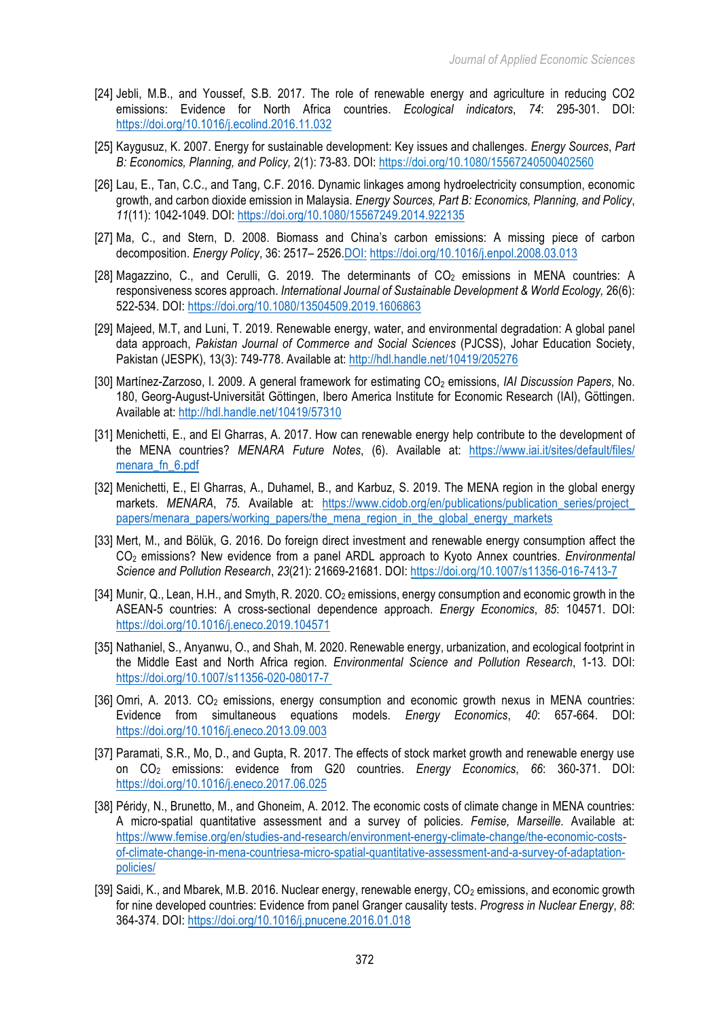- [24] Jebli, M.B., and Youssef, S.B. 2017. The role of renewable energy and agriculture in reducing CO2 emissions: Evidence for North Africa countries. *Ecological indicators*, *74*: 295-301. DOI: https://doi.org/10.1016/j.ecolind.2016.11.032
- [25] Kaygusuz, K. 2007. Energy for sustainable development: Key issues and challenges. *Energy Sources*, *Part B: Economics, Planning, and Policy,* 2(1): 73-83. DOI: https://doi.org/10.1080/15567240500402560
- [26] Lau, E., Tan, C.C., and Tang, C.F. 2016. Dynamic linkages among hydroelectricity consumption, economic growth, and carbon dioxide emission in Malaysia. *Energy Sources, Part B: Economics, Planning, and Policy*, *11*(11): 1042-1049. DOI: https://doi.org/10.1080/15567249.2014.922135
- [27] Ma, C., and Stern, D. 2008. Biomass and China's carbon emissions: A missing piece of carbon decomposition. *Energy Policy*, 36: 2517– 2526.DOI: https://doi.org/10.1016/j.enpol.2008.03.013
- [28] Magazzino, C., and Cerulli, G. 2019. The determinants of  $CO<sub>2</sub>$  emissions in MENA countries: A responsiveness scores approach. *International Journal of Sustainable Development & World Ecology,* 26(6): 522-534. DOI: https://doi.org/10.1080/13504509.2019.1606863
- [29] Majeed, M.T, and Luni, T. 2019. Renewable energy, water, and environmental degradation: A global panel data approach, *Pakistan Journal of Commerce and Social Sciences* (PJCSS), Johar Education Society, Pakistan (JESPK), 13(3): 749-778. Available at: http://hdl.handle.net/10419/205276
- [30] Martínez-Zarzoso, I. 2009. A general framework for estimating CO2 emissions, *IAI Discussion Papers*, No. 180, Georg-August-Universität Göttingen, Ibero America Institute for Economic Research (IAI), Göttingen. Available at: http://hdl.handle.net/10419/57310
- [31] Menichetti, E., and El Gharras, A. 2017. How can renewable energy help contribute to the development of the MENA countries? *MENARA Future Notes*, (6). Available at: https://www.iai.it/sites/default/files/ menara fn 6.pdf
- [32] Menichetti, E., El Gharras, A., Duhamel, B., and Karbuz, S. 2019. The MENA region in the global energy markets. *MENARA*, 75. Available at: https://www.cidob.org/en/publications/publication series/project papers/menara\_papers/working\_papers/the\_mena\_region\_in\_the\_global\_energy\_markets
- [33] Mert, M., and Bölük, G. 2016. Do foreign direct investment and renewable energy consumption affect the CO2 emissions? New evidence from a panel ARDL approach to Kyoto Annex countries. *Environmental Science and Pollution Research*, *23*(21): 21669-21681. DOI: https://doi.org/10.1007/s11356-016-7413-7
- [34] Munir, Q., Lean, H.H., and Smyth, R. 2020. CO<sub>2</sub> emissions, energy consumption and economic growth in the ASEAN-5 countries: A cross-sectional dependence approach. *Energy Economics*, *85*: 104571. DOI: https://doi.org/10.1016/j.eneco.2019.104571
- [35] Nathaniel, S., Anyanwu, O., and Shah, M. 2020. Renewable energy, urbanization, and ecological footprint in the Middle East and North Africa region*. Environmental Science and Pollution Research*, 1-13. DOI: https://doi.org/10.1007/s11356-020-08017-7
- [36] Omri, A. 2013. CO<sub>2</sub> emissions, energy consumption and economic growth nexus in MENA countries: Evidence from simultaneous equations models. *Energy Economics*, *40*: 657-664. DOI: https://doi.org/10.1016/j.eneco.2013.09.003
- [37] Paramati, S.R., Mo, D., and Gupta, R. 2017. The effects of stock market growth and renewable energy use on CO2 emissions: evidence from G20 countries. *Energy Economics*, *66*: 360-371. DOI: https://doi.org/10.1016/j.eneco.2017.06.025
- [38] Péridy, N., Brunetto, M., and Ghoneim, A. 2012. The economic costs of climate change in MENA countries: A micro-spatial quantitative assessment and a survey of policies. *Femise, Marseille*. Available at: https://www.femise.org/en/studies-and-research/environment-energy-climate-change/the-economic-costsof-climate-change-in-mena-countriesa-micro-spatial-quantitative-assessment-and-a-survey-of-adaptationpolicies/
- [39] Saidi, K., and Mbarek, M.B. 2016. Nuclear energy, renewable energy, CO<sub>2</sub> emissions, and economic growth for nine developed countries: Evidence from panel Granger causality tests. *Progress in Nuclear Energy*, *88*: 364-374. DOI: https://doi.org/10.1016/j.pnucene.2016.01.018